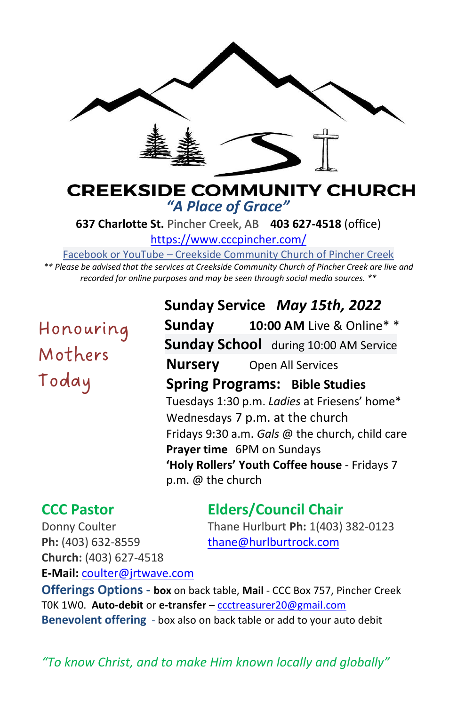

# **CREEKSIDE COMMUNITY CHURCH** *"A Place of Grace"*

**637 Charlotte St.** Pincher Creek, AB **403 627-4518** (office)

<https://www.cccpincher.com/>

Facebook or YouTube – Creekside Community Church of Pincher Creek

*\*\* Please be advised that the services at Creekside Community Church of Pincher Creek are live and recorded for online purposes and may be seen through social media sources. \*\**

Honouring Mothers Today

**Sunday Service** *May 15th, 2022* **Sunday 10:00 AM** Live & Online\* \* **Sunday School** during 10:00 AM Service **Nursery** Open All Services **Spring Programs: Bible Studies** Tuesdays 1:30 p.m. *Ladies* at Friesens' home\* Wednesdays 7 p.m. at the church Fridays 9:30 a.m. *Gals* @ the church, child care **Prayer time** 6PM on Sundays **'Holy Rollers' Youth Coffee house** - Fridays 7 p.m. @ the church

# **CCC Pastor Elders/Council Chair**

Donny Coulter Thane Hurlburt **Ph:** 1(403) 382-0123 Ph: (403) 632-8559 [thane@hurlburtrock.com](mailto:thane@hurlburtrock.com) **Church:** (403) 627-4518

**E-Mail:** [coulter@jrtwave.com](mailto:coulter@jrtwave.com)

**Offerings Options - box** on back table, **Mail** - CCC Box 757, Pincher Creek T0K 1W0. **Auto-debit** or **e-transfer** – [ccctreasurer20@gmail.com](mailto:ccctreasurer20@gmail.com) **Benevolent offering** - box also on back table or add to your auto debit

*"To know Christ, and to make Him known locally and globally"*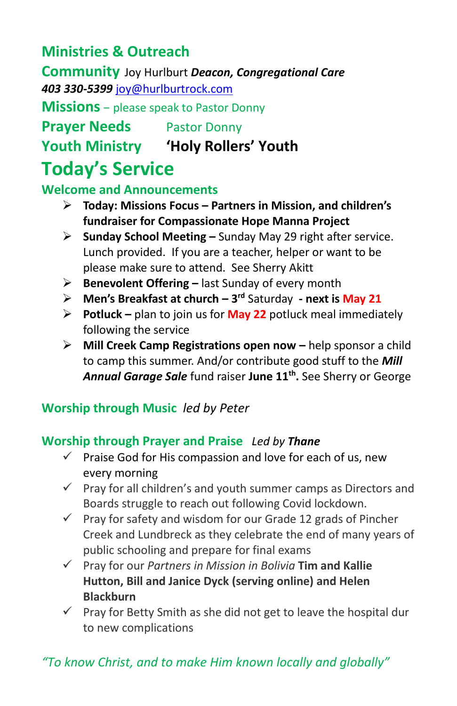# **Ministries & Outreach**

**Community** Joy Hurlburt *Deacon, Congregational Care 403 330-5399* [joy@hurlburtrock.com](mailto:joy@hurlburtrock.com)

**Missions** – please speak to Pastor Donny

**Prayer Needs** Pastor Donny

**Youth Ministry 'Holy Rollers' Youth**

# **Today's Service**

## **Welcome and Announcements**

- ➢ **Today: Missions Focus – Partners in Mission, and children's fundraiser for Compassionate Hope Manna Project**
- ➢ **Sunday School Meeting –** Sunday May 29 right after service. Lunch provided. If you are a teacher, helper or want to be please make sure to attend. See Sherry Akitt
- ➢ **Benevolent Offering –** last Sunday of every month
- ➢ **Men's Breakfast at church – 3 rd** Saturday **- next is May 21**
- ➢ **Potluck –** plan to join us for **May 22** potluck meal immediately following the service
- ➢ **Mill Creek Camp Registrations open now –** help sponsor a child to camp this summer. And/or contribute good stuff to the *Mill Annual Garage Sale* fund raiser **June 11th .** See Sherry or George

## **Worship through Music** *led by Peter*

## **Worship through Prayer and Praise** *Led by Thane*

- $\checkmark$  Praise God for His compassion and love for each of us, new every morning
- $\checkmark$  Pray for all children's and youth summer camps as Directors and Boards struggle to reach out following Covid lockdown.
- $\checkmark$  Pray for safety and wisdom for our Grade 12 grads of Pincher Creek and Lundbreck as they celebrate the end of many years of public schooling and prepare for final exams
- ✓ Pray for our *Partners in Mission in Bolivia* **Tim and Kallie Hutton, Bill and Janice Dyck (serving online) and Helen Blackburn**
- ✓ Pray for Betty Smith as she did not get to leave the hospital dur to new complications

# *"To know Christ, and to make Him known locally and globally"*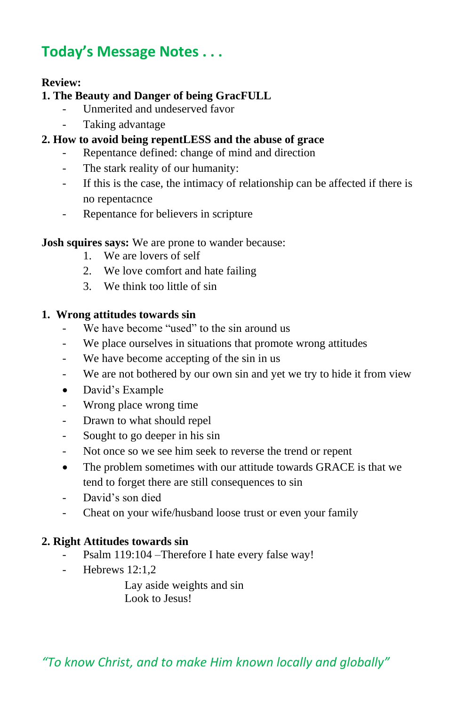# **Today's Message Notes . . .**

### **Review:**

### **1. The Beauty and Danger of being GracFULL**

- Unmerited and undeserved favor
- Taking advantage
- **2. How to avoid being repentLESS and the abuse of grace**
	- Repentance defined: change of mind and direction
	- The stark reality of our humanity:
	- If this is the case, the intimacy of relationship can be affected if there is no repentacnce
	- Repentance for believers in scripture

#### **Josh squires says:** We are prone to wander because:

- 1. We are lovers of self
- 2. We love comfort and hate failing
- 3. We think too little of sin

#### **1. Wrong attitudes towards sin**

- We have become "used" to the sin around us
- We place ourselves in situations that promote wrong attitudes
- We have become accepting of the sin in us
- We are not bothered by our own sin and yet we try to hide it from view
- David's Example
- Wrong place wrong time
- Drawn to what should repel
- Sought to go deeper in his sin
- Not once so we see him seek to reverse the trend or repent
- The problem sometimes with our attitude towards GRACE is that we tend to forget there are still consequences to sin
- David's son died
- Cheat on your wife/husband loose trust or even your family

### **2. Right Attitudes towards sin**

- Psalm 119:104 –Therefore I hate every false way!
- Hebrews 12:1.2

Lay aside weights and sin Look to Jesus!